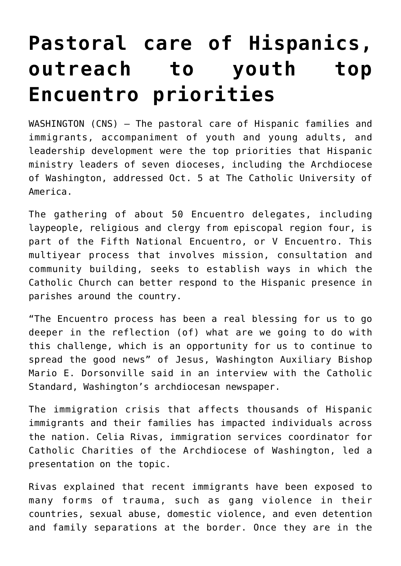## **[Pastoral care of Hispanics,](https://www.osvnews.com/2019/10/16/pastoral-care-of-hispanics-outreach-to-youth-top-encuentro-priorities/) [outreach to youth top](https://www.osvnews.com/2019/10/16/pastoral-care-of-hispanics-outreach-to-youth-top-encuentro-priorities/) [Encuentro priorities](https://www.osvnews.com/2019/10/16/pastoral-care-of-hispanics-outreach-to-youth-top-encuentro-priorities/)**

WASHINGTON (CNS) — The pastoral care of Hispanic families and immigrants, accompaniment of youth and young adults, and leadership development were the top priorities that Hispanic ministry leaders of seven dioceses, including the Archdiocese of Washington, addressed Oct. 5 at The Catholic University of America.

The gathering of about 50 Encuentro delegates, including laypeople, religious and clergy from episcopal region four, is part of the Fifth National Encuentro, or V Encuentro. This multiyear process that involves mission, consultation and community building, seeks to establish ways in which the Catholic Church can better respond to the Hispanic presence in parishes around the country.

"The Encuentro process has been a real blessing for us to go deeper in the reflection (of) what are we going to do with this challenge, which is an opportunity for us to continue to spread the good news" of Jesus, Washington Auxiliary Bishop Mario E. Dorsonville said in an interview with the Catholic Standard, Washington's archdiocesan newspaper.

The immigration crisis that affects thousands of Hispanic immigrants and their families has impacted individuals across the nation. Celia Rivas, immigration services coordinator for Catholic Charities of the Archdiocese of Washington, led a presentation on the topic.

Rivas explained that recent immigrants have been exposed to many forms of trauma, such as gang violence in their countries, sexual abuse, domestic violence, and even detention and family separations at the border. Once they are in the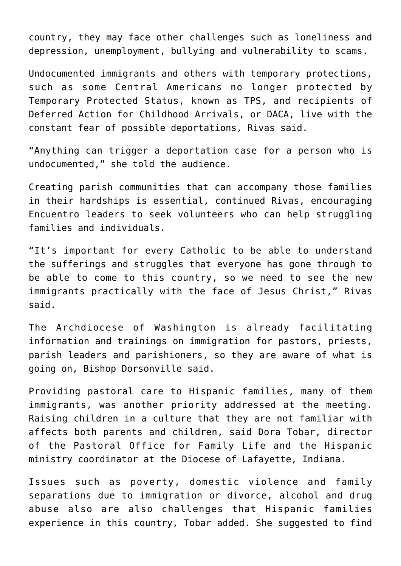country, they may face other challenges such as loneliness and depression, unemployment, bullying and vulnerability to scams.

Undocumented immigrants and others with temporary protections, such as some Central Americans no longer protected by Temporary Protected Status, known as TPS, and recipients of Deferred Action for Childhood Arrivals, or DACA, live with the constant fear of possible deportations, Rivas said.

"Anything can trigger a deportation case for a person who is undocumented," she told the audience.

Creating parish communities that can accompany those families in their hardships is essential, continued Rivas, encouraging Encuentro leaders to seek volunteers who can help struggling families and individuals.

"It's important for every Catholic to be able to understand the sufferings and struggles that everyone has gone through to be able to come to this country, so we need to see the new immigrants practically with the face of Jesus Christ," Rivas said.

The Archdiocese of Washington is already facilitating information and trainings on immigration for pastors, priests, parish leaders and parishioners, so they are aware of what is going on, Bishop Dorsonville said.

Providing pastoral care to Hispanic families, many of them immigrants, was another priority addressed at the meeting. Raising children in a culture that they are not familiar with affects both parents and children, said Dora Tobar, director of the Pastoral Office for Family Life and the Hispanic ministry coordinator at the Diocese of Lafayette, Indiana.

Issues such as poverty, domestic violence and family separations due to immigration or divorce, alcohol and drug abuse also are also challenges that Hispanic families experience in this country, Tobar added. She suggested to find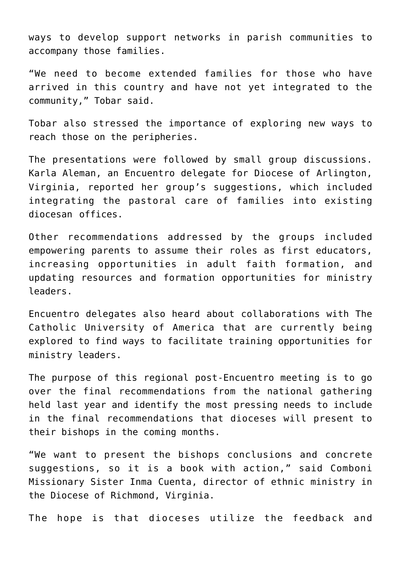ways to develop support networks in parish communities to accompany those families.

"We need to become extended families for those who have arrived in this country and have not yet integrated to the community," Tobar said.

Tobar also stressed the importance of exploring new ways to reach those on the peripheries.

The presentations were followed by small group discussions. Karla Aleman, an Encuentro delegate for Diocese of Arlington, Virginia, reported her group's suggestions, which included integrating the pastoral care of families into existing diocesan offices.

Other recommendations addressed by the groups included empowering parents to assume their roles as first educators, increasing opportunities in adult faith formation, and updating resources and formation opportunities for ministry leaders.

Encuentro delegates also heard about collaborations with The Catholic University of America that are currently being explored to find ways to facilitate training opportunities for ministry leaders.

The purpose of this regional post-Encuentro meeting is to go over the final recommendations from the national gathering held last year and identify the most pressing needs to include in the final recommendations that dioceses will present to their bishops in the coming months.

"We want to present the bishops conclusions and concrete suggestions, so it is a book with action," said Comboni Missionary Sister Inma Cuenta, director of ethnic ministry in the Diocese of Richmond, Virginia.

The hope is that dioceses utilize the feedback and